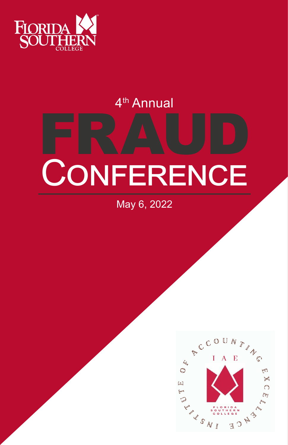

# 4th Annual

# FRAUD **CONFERENCE**

May 6, 2022

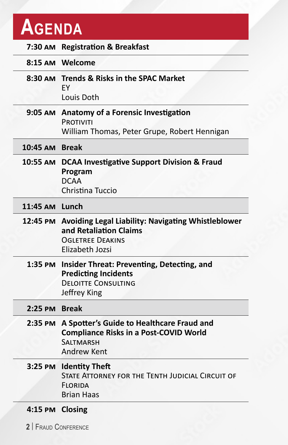# **Agenda**

|                      | 7:30 AM Registration & Breakfast                                                                                                             |  |
|----------------------|----------------------------------------------------------------------------------------------------------------------------------------------|--|
|                      | 8:15 AM Welcome                                                                                                                              |  |
|                      | 8:30 AM Trends & Risks in the SPAC Market<br>EY<br>Louis Doth                                                                                |  |
|                      | 9:05 AM Anatomy of a Forensic Investigation<br><b>PROTIVITI</b><br>William Thomas, Peter Grupe, Robert Hennigan                              |  |
| 10:45 AM Break       |                                                                                                                                              |  |
|                      | 10:55 AM DCAA Investigative Support Division & Fraud<br>Program<br><b>DCAA</b><br>Christina Tuccio                                           |  |
| 11:45 AM Lunch       |                                                                                                                                              |  |
|                      | 12:45 PM Avoiding Legal Liability: Navigating Whistleblower<br>and Retaliation Claims<br><b>OGLETREE DEAKINS</b><br>Elizabeth Jozsi          |  |
|                      | 1:35 PM Insider Threat: Preventing, Detecting, and<br><b>Predicting Incidents</b><br><b>DELOITTE CONSULTING</b><br>Jeffrey King              |  |
| 2:25 PM Break        |                                                                                                                                              |  |
|                      | 2:35 PM A Spotter's Guide to Healthcare Fraud and<br><b>Compliance Risks in a Post-COVID World</b><br><b>SALTMARSH</b><br><b>Andrew Kent</b> |  |
|                      | 3:25 PM Identity Theft<br>STATE ATTORNEY FOR THE TENTH JUDICIAL CIRCUIT OF<br><b>FLORIDA</b><br><b>Brian Haas</b>                            |  |
| 4:15 PM Closing      |                                                                                                                                              |  |
| 2   FRAUD CONFERENCE |                                                                                                                                              |  |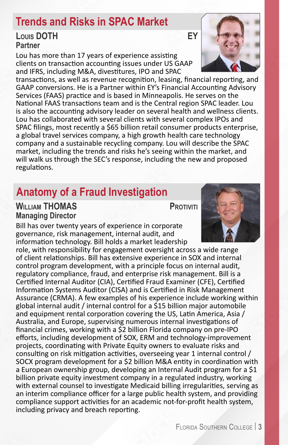### **Trends and Risks in SPAC Market**

#### **Louis DOTH EY Partner**

Lou has more than 17 years of experience assisting clients on transaction accounting issues under US GAAP and IFRS, including M&A, divestitures, IPO and SPAC

transactions, as well as revenue recognition, leasing, financial reporting, and GAAP conversions. He is a Partner within EY's Financial Accounting Advisory Services (FAAS) practice and is based in Minneapolis. He serves on the National FAAS transactions team and is the Central region SPAC leader. Lou is also the accounting advisory leader on several health and wellness clients. Lou has collaborated with several clients with several complex IPOs and SPAC filings, most recently a \$65 billion retail consumer products enterprise, a global travel services company, a high growth health care technology company and a sustainable recycling company. Lou will describe the SPAC market, including the trends and risks he's seeing within the market, and will walk us through the SEC's response, including the new and proposed regulations.

# **Anatomy of a Fraud Investigation**

#### **WILLIAM THOMAS PROTIVITI Managing Director**

Bill has over twenty years of experience in corporate governance, risk management, internal audit, and information technology. Bill holds a market leadership

role, with responsibility for engagement oversight across a wide range of client relationships. Bill has extensive experience in SOX and internal control program development, with a principle focus on internal audit, regulatory compliance, fraud, and enterprise risk management. Bill is a Certified Internal Auditor (CIA), Certified Fraud Examiner (CFE), Certified Information Systems Auditor (CISA) and is Certified in Risk Management Assurance (CRMA). A few examples of his experience include working within global internal audit / internal control for a \$15 billion major automobile and equipment rental corporation covering the US, Latin America, Asia / Australia, and Europe, supervising numerous internal investigations of financial crimes, working with a \$2 billion Florida company on pre-IPO efforts, including development of SOX, ERM and technology-improvement projects, coordinating with Private Equity owners to evaluate risks and consulting on risk mitigation activities, overseeing year 1 internal control / SOCX program development for a \$2 billion M&A entity in coordination with a European ownership group, developing an Internal Audit program for a \$1 billion private equity investment company in a regulated industry, working with external counsel to investigate Medicaid billing irregularities, serving as an interim compliance officer for a large public health system, and providing compliance support activities for an academic not-for-profit health system, including privacy and breach reporting.



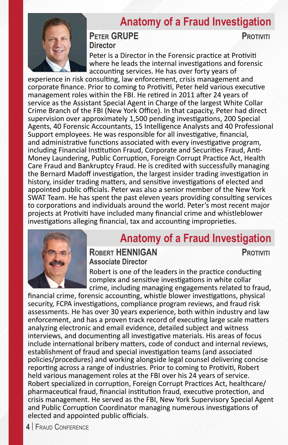#### **Anatomy of a Fraud Investigation**



#### **PETER GRUPE PROTIVITI Director**

Peter is a Director in the Forensic practice at Protiviti where he leads the internal investigations and forensic accounting services. He has over forty years of

experience in risk consulting, law enforcement, crisis management and corporate finance. Prior to coming to Protiviti, Peter held various executive management roles within the FBI. He retired in 2011 after 24 years of service as the Assistant Special Agent in Charge of the largest White Collar Crime Branch of the FBI (New York Office). In that capacity, Peter had direct supervision over approximately 1,500 pending investigations, 200 Special Agents, 40 Forensic Accountants, 15 Intelligence Analysts and 40 Professional Support employees. He was responsible for all investigative, financial, and administrative functions associated with every investigative program, including Financial Institution Fraud, Corporate and Securities Fraud, Anti-Money Laundering, Public Corruption, Foreign Corrupt Practice Act, Health Care Fraud and Bankruptcy Fraud. He is credited with successfully managing the Bernard Madoff investigation, the largest insider trading investigation in history, insider trading matters, and sensitive investigations of elected and appointed public officials. Peter was also a senior member of the New York SWAT Team. He has spent the past eleven years providing consulting services to corporations and individuals around the world. Peter's most recent major projects at Protiviti have included many financial crime and whistleblower investigations alleging financial, tax and accounting improprieties.



#### **Anatomy of a Fraud Investigation**

**ROBERT HENNIGAN PROTIVITI Associate Director**

Robert is one of the leaders in the practice conducting complex and sensitive investigations in white collar crime, including managing engagements related to fraud,

financial crime, forensic accounting, whistle blower investigations, physical security, FCPA investigations, compliance program reviews, and fraud risk assessments. He has over 30 years experience, both within industry and law enforcement, and has a proven track record of executing large scale matters analyzing electronic and email evidence, detailed subject and witness interviews, and documenting all investigative materials. His areas of focus include international bribery matters, code of conduct and internal reviews, establishment of fraud and special investigation teams (and associated policies/procedures) and working alongside legal counsel delivering concise reporting across a range of industries. Prior to coming to Protiviti, Robert held various management roles at the FBI over his 24 years of service. Robert specialized in corruption, Foreign Corrupt Practices Act, healthcare/ pharmaceutical fraud, financial institution fraud, executive protection, and crisis management. He served as the FBI, New York Supervisory Special Agent and Public Corruption Coordinator managing numerous investigations of elected and appointed public officials.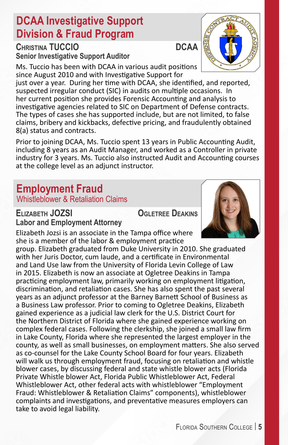# **DCAA Investigative Support Division & Fraud Program**

**CHRISTINA TUCCIO DCAA Senior Investigative Support Auditor**

Ms. Tuccio has been with DCAA in various audit positions since August 2010 and with Investigative Support for

just over a year. During her time with DCAA, she identified, and reported, suspected irregular conduct (SIC) in audits on multiple occasions. In her current position she provides Forensic Accounting and analysis to investigative agencies related to SIC on Department of Defense contracts. The types of cases she has supported include, but are not limited, to false claims, bribery and kickbacks, defective pricing, and fraudulently obtained 8(a) status and contracts.

Prior to joining DCAA, Ms. Tuccio spent 13 years in Public Accounting Audit, including 8 years as an Audit Manager, and worked as a Controller in private industry for 3 years. Ms. Tuccio also instructed Audit and Accounting courses at the college level as an adjunct instructor.

#### **Employment Fraud** Whistleblower & Retaliation Claims

**Elizabeth JOZSI Ogletree Deakins Labor and Employment Attorney**

Elizabeth Jozsi is an associate in the Tampa office where she is a member of the labor & employment practice

group. Elizabeth graduated from Duke University in 2010. She graduated with her Juris Doctor, cum laude, and a certificate in Environmental and Land Use law from the University of Florida Levin College of Law in 2015. Elizabeth is now an associate at Ogletree Deakins in Tampa practicing employment law, primarily working on employment litigation, discrimination, and retaliation cases. She has also spent the past several years as an adjunct professor at the Barney Barnett School of Business as a Business Law professor. Prior to coming to Ogletree Deakins, Elizabeth gained experience as a judicial law clerk for the U.S. District Court for the Northern District of Florida where she gained experience working on complex federal cases. Following the clerkship, she joined a small law firm in Lake County, Florida where she represented the largest employer in the county, as well as small businesses, on employment matters. She also served as co-counsel for the Lake County School Board for four years. Elizabeth will walk us through employment fraud, focusing on retaliation and whistle blower cases, by discussing federal and state whistle blower acts (Florida Private Whistle blower Act, Florida Public Whistleblower Act, Federal Whistleblower Act, other federal acts with whistleblower "Employment Fraud: Whistleblower & Retaliation Claims" components), whistleblower complaints and investigations, and preventative measures employers can take to avoid legal liability.

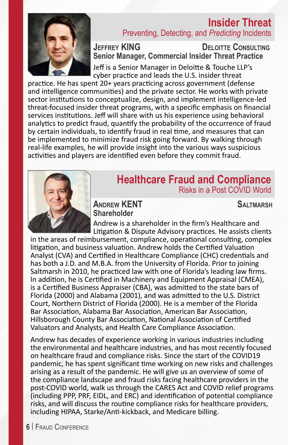#### **Insider Threat** Preventing, Detecting, and *Predicting* Incidents



**Jeffrey KING Deloitte Consulting Senior Manager, Commercial Insider Threat Practice** 

Jeff is a Senior Manager in Deloitte & Touche LLP's cyber practice and leads the U.S. insider threat

practice. He has spent 20+ years practicing across government (defense and intelligence communities) and the private sector. He works with private sector institutions to conceptualize, design, and implement intelligence-led threat-focused insider threat programs, with a specific emphasis on financial services institutions. Jeff will share with us his experience using behavioral analytics to predict fraud, quantify the probability of the occurrence of fraud by certain individuals, to identify fraud in real time, and measures that can be implemented to minimize fraud risk going forward. By walking through real-life examples, he will provide insight into the various ways suspicious activities and players are identified even before they commit fraud.



#### **Healthcare Fraud and Compliance** Risks in a Post COVID World

**Andrew KENT Saltmarsh Shareholder**

Andrew is a shareholder in the firm's Healthcare and Litigation & Dispute Advisory practices. He assists clients

in the areas of reimbursement, compliance, operational consulting, complex litigation, and business valuation. Andrew holds the Certified Valuation Analyst (CVA) and Certified in Healthcare Compliance (CHC) credentials and has both a J.D. and M.B.A. from the University of Florida. Prior to joining Saltmarsh in 2010, he practiced law with one of Florida's leading law firms. In addition, he is Certified in Machinery and Equipment Appraisal (CMEA), is a Certified Business Appraiser (CBA), was admitted to the state bars of Florida (2000) and Alabama (2001), and was admitted to the U.S. District Court, Northern District of Florida (2000). He is a member of the Florida Bar Association, Alabama Bar Association, American Bar Association, Hillsborough County Bar Association, National Association of Certified Valuators and Analysts, and Health Care Compliance Association.

Andrew has decades of experience working in various industries including the environmental and healthcare industries, and has most recently focused on healthcare fraud and compliance risks. Since the start of the COVID19 pandemic, he has spent significant time working on new risks and challenges arising as a result of the pandemic. He will give us an overview of some of the compliance landscape and fraud risks facing healthcare providers in the post-COVID world, walk us through the CARES Act and COVID relief programs (including PPP, PRF, EIDL, and ERC) and identification of potential compliance risks, and will discuss the routine compliance risks for healthcare providers, including HIPAA, Starke/Anti-kickback, and Medicare billing.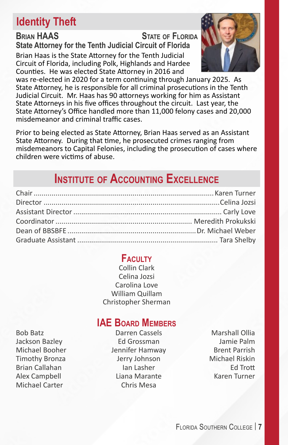## **Identity Theft**

**Brian HAAS State of Florida State Attorney for the Tenth Judicial Circuit of Florida** Brian Haas is the State Attorney for the Tenth Judicial Circuit of Florida, including Polk, Highlands and Hardee Counties. He was elected State Attorney in 2016 and



was re-elected in 2020 for a term continuing through January 2025. As State Attorney, he is responsible for all criminal prosecutions in the Tenth Judicial Circuit. Mr. Haas has 90 attorneys working for him as Assistant State Attorneys in his five offices throughout the circuit. Last year, the State Attorney's Office handled more than 11,000 felony cases and 20,000 misdemeanor and criminal traffic cases.

Prior to being elected as State Attorney, Brian Haas served as an Assistant State Attorney. During that time, he prosecuted crimes ranging from misdemeanors to Capital Felonies, including the prosecution of cases where children were victims of abuse.

# **Institute of Accounting Excellence**

#### **Faculty**

Collin Clark Celina Jozsi Carolina Love William Quillam Christopher Sherman

#### **IAE** BOARD **MEMBERS**

Bob Batz Darren Cassels Marshall Ollia Michael Carter Chris Mesa

Jackson Bazley Ed Grossman Jamie Palm Michael Booher **Jennifer Hamway** Brent Parrish Timothy Bronza Jerry Johnson Michael Riskin Brian Callahan Ian Lasher Ed Trott Alex Campbell Liana Marante Karen Turner